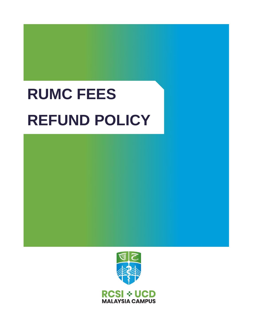# **RUMC FEES REFUND POLICY**

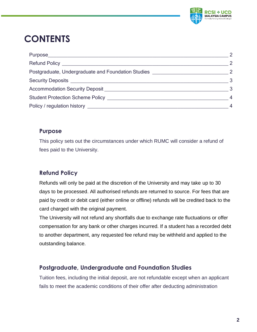

# **CONTENTS**

|                                                                                                  | $\overline{\phantom{0}}^2$ |
|--------------------------------------------------------------------------------------------------|----------------------------|
|                                                                                                  | -2                         |
| Postgraduate, Undergraduate and Foundation Studies 22 22                                         |                            |
|                                                                                                  | - 3                        |
|                                                                                                  | $\overline{\mathbf{3}}$    |
| Student Protection Scheme Policy <b>Container and Container Student Protection Scheme Policy</b> | -4                         |
|                                                                                                  |                            |

#### <span id="page-1-0"></span>**Purpose**

This policy sets out the circumstances under which RUMC will consider a refund of fees paid to the University.

### <span id="page-1-1"></span>**Refund Policy**

Refunds will only be paid at the discretion of the University and may take up to 30 days to be processed. All authorised refunds are returned to source. For fees that are paid by credit or debit card (either online or offline) refunds will be credited back to the card charged with the original payment.

The University will not refund any shortfalls due to exchange rate fluctuations or offer compensation for any bank or other charges incurred. If a student has a recorded debt to another department, any requested fee refund may be withheld and applied to the outstanding balance.

#### <span id="page-1-2"></span>**Postgraduate, Undergraduate and Foundation Studies**

Tuition fees, including the initial deposit, are not refundable except when an applicant fails to meet the academic conditions of their offer after deducting administration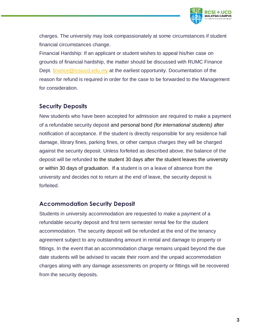

charges. The university may look compassionately at some circumstances if student financial circumstances change.

Financial Hardship: If an applicant or student wishes to appeal his/her case on grounds of financial hardship, the matter should be discussed with RUMC Finance Dept. [finance@rcsiucd.edu.my](mailto:finance@rcsiucd.edu.my) at the earliest opportunity. Documentation of the reason for refund is required in order for the case to be forwarded to the Management for consideration.

#### <span id="page-2-0"></span>**Security Deposits**

New students who have been accepted for admission are required to make a payment of a refundable security deposit and personal bond *(for international students)* after notification of acceptance. If the student is directly responsible for any residence hall damage, library fines, parking fines, or other campus charges they will be charged against the security deposit. Unless forfeited as described above, the balance of the deposit will be refunded to the student 30 days after the student leaves the university or within 30 days of graduation. If a student is on a leave of absence from the university and decides not to return at the end of leave, the security deposit is forfeited.

#### <span id="page-2-1"></span>**Accommodation Security Deposit**

Students in university accommodation are requested to make a payment of a refundable security deposit and first term semester rental fee for the student accommodation. The security deposit will be refunded at the end of the tenancy agreement subject to any outstanding amount in rental and damage to property or fittings. In the event that an accommodation charge remains unpaid beyond the due date students will be advised to vacate their room and the unpaid accommodation charges along with any damage assessments on property or fittings will be recovered from the security deposits.